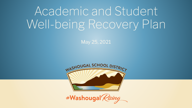# Academic and Student Well-being Recovery Plan

May 25, 2021



#Washougal Rising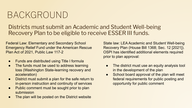### BACKGROUND

Districts must submit an Academic and Student Well-being Recovery Plan to be eligible to receive ESSER III funds.

Federal Law: Elementary and Secondary School Emergency Relief Fund under the American Rescue Plan Act of 2021, Public Law 117-2

- Funds are distributed using Title I formula
- The funds must be used to address learning loss (Washington State-learning recovery and acceleration)
- District must submit a plan for the safe return to in-person instruction and continuity of services
- Public comment must be sought prior to plan submission
- The plan will be posted on the District website

State law: LEA Academic and Student Well-being Recovery Plan (House Bill 1368; Sec. 12 [2021]). OSPI has identified additional elements required prior to plan approval:

- The district must use an equity analysis tool in the development of the plan
- School board approval of the plan will meet federal requirements for public posting and opportunity for public comment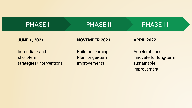| <b>PHASE I</b>                                          | <b>PHASE II</b>                                               | <b>PHASE III</b>                                                              |
|---------------------------------------------------------|---------------------------------------------------------------|-------------------------------------------------------------------------------|
| <b>JUNE 1, 2021</b>                                     | <b>NOVEMBER 2021</b>                                          | <b>APRIL 2022</b>                                                             |
| Immediate and<br>short-term<br>strategies/interventions | <b>Build on learning;</b><br>Plan longer-term<br>improvements | <b>Accelerate and</b><br>innovate for long-term<br>sustainable<br>improvement |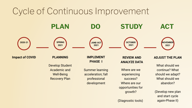#### Cycle of Continuous Improvement



(Diagnostic tools)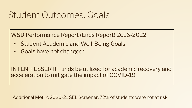#### Student Outcomes: Goals

WSD Performance Report (Ends Report) 2016-2022

- Student Academic and Well-Being Goals
- Goals have not changed\*

INTENT: ESSER III funds be utilized for academic recovery and acceleration to mitigate the impact of COVID-19

\*Additional Metric 2020-21 SEL Screener: 72% of students were not at risk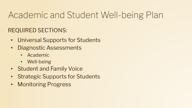### Academic and Student Well-being Plan

#### REQUIRED SECTIONS:

- Universal Supports for Students
- Diagnostic Assessments
	- Academic
	- Well-being
- Student and Family Voice
- Strategic Supports for Students
- Monitoring Progress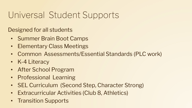### Universal Student Supports

Designed for all students

- Summer Brain Boot Camps
- Elementary Class Meetings
- Common Assessments/Essential Standards (PLC work)
- K-4 Literacy
- After School Program
- Professional Learning
- SEL Curriculum (Second Step, Character Strong)
- Extracurricular Activities (Club 8, Athletics)
- Transition Supports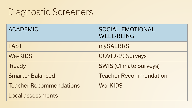#### Diagnostic Screeners

| <b>ACADEMIC</b>                | SOCIAL-EMOTIONAL<br><b>WELL-BEING</b> |
|--------------------------------|---------------------------------------|
| <b>FAST</b>                    | <b>mySAEBRS</b>                       |
| Wa-KIDS                        | <b>COVID-19 Surveys</b>               |
| iReady                         | <b>SWIS (Climate Surveys)</b>         |
| <b>Smarter Balanced</b>        | <b>Teacher Recommendation</b>         |
| <b>Teacher Recommendations</b> | Wa-KIDS                               |
| Local assessments              |                                       |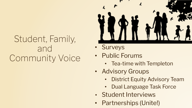#### Student, Family, and Community Voice



- Surveys
- Public Forums
	- Tea-time with Templeton
- Advisory Groups
	- **District Equity Advisory Team**
	- Dual Language Task Force
- Student Interviews
- Partnerships (Unite!)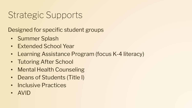### Strategic Supports

Designed for specific student groups

- Summer Splash
- Extended School Year
- Learning Assistance Program (focus K-4 literacy)
- Tutoring After School
- Mental Health Counseling
- Deans of Students (Title I)
- Inclusive Practices
- AVID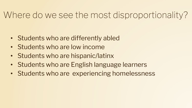#### Where do we see the most disproportionality?

- Students who are differently abled
- Students who are low income
- Students who are hispanic/latinx
- Students who are English language learners
- Students who are experiencing homelessness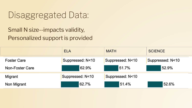### Disaggregated Data:

Small N size--impacts validity, Personalized support is provided

|                    | <b>ELA</b>       | <b>MATH</b>      | <b>SCIENCE</b>   |
|--------------------|------------------|------------------|------------------|
| <b>Foster Care</b> | Suppressed: N<10 | Suppressed: N<10 | Suppressed: N<10 |
| Non-Foster Care    | 62.9%            | 51.7%            | 52.9%            |
| Migrant            | Suppressed: N<10 | Suppressed: N<10 |                  |
| Non Migrant        | 62.7%            | 51.4%            | 52.6%            |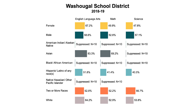#### **Washougal School District** 2018-19

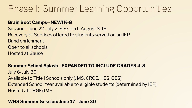#### Phase I: Summer Learning Opportunities

#### **Brain Boot Camps--NEW! K-8**

Session I June 22-July 2; Session II August 3-13 Recovery of Services offered to students served on an IEP Band enrichment Open to all schools Hosted at Gause

#### **Summer School Splash**--**EXPANDED TO INCLUDE GRADES 4-8**

July 6-July 30 Available to Title I Schools only (JMS, CRGE, HES, GES) Extended School Year available to eligible students (determined by IEP) Hosted at CRGE/JMS

#### **WHS Summer Session: June 17 - June 30**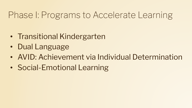### Phase I: Programs to Accelerate Learning

- Transitional Kindergarten
- Dual Language
- AVID: Achievement via Individual Determination
- Social-Emotional Learning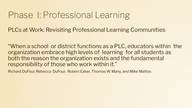#### Phase I: Professional Learning

PLCs at Work: Revisiting Professional Learning Communities

"When a school or district functions as a PLC, educators within the organization embrace high levels of learning for all students as both the reason the organization exists and the fundamental responsibility of those who work within it."

Richard DuFour, Rebecca DuFour, Robert Eaker, Thomas W. Many, and Mike Mattos